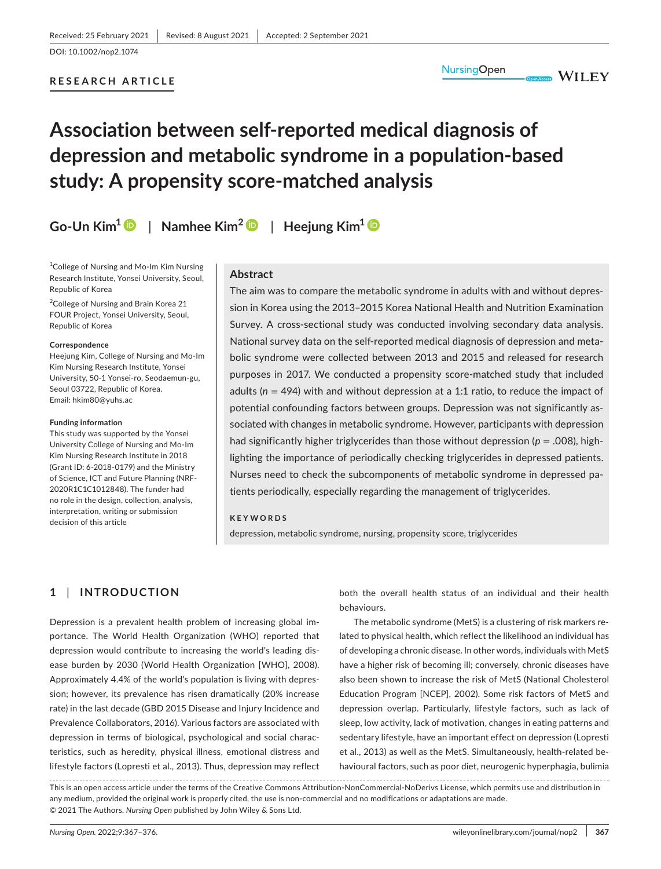## **RESEARCH ARTICLE**

**WILEY** 

# **Association between self-reported medical diagnosis of depression and metabolic syndrome in a population-based study: A propensity score-matched analysis**

**Go-Un Kim[1](https://orcid.org/0000-0001-7191-5134)** | **Namhee Kim[2](https://orcid.org/0000-0002-2862-2691)** | **Heejung Kim<sup>1</sup>**

<sup>1</sup>College of Nursing and Mo-Im Kim Nursing Research Institute, Yonsei University, Seoul, Republic of Korea

2 College of Nursing and Brain Korea 21 FOUR Project, Yonsei University, Seoul, Republic of Korea

#### **Correspondence**

Heejung Kim, College of Nursing and Mo-Im Kim Nursing Research Institute, Yonsei University, 50-1 Yonsei-ro, Seodaemun-gu, Seoul 03722, Republic of Korea. Email: [hkim80@yuhs.ac](mailto:hkim80@yuhs.ac)

#### **Funding information**

This study was supported by the Yonsei University College of Nursing and Mo-Im Kim Nursing Research Institute in 2018 (Grant ID: 6-2018-0179) and the Ministry of Science, ICT and Future Planning (NRF-2020R1C1C1012848). The funder had no role in the design, collection, analysis, interpretation, writing or submission decision of this article

## **Abstract**

The aim was to compare the metabolic syndrome in adults with and without depression in Korea using the 2013–2015 Korea National Health and Nutrition Examination Survey. A cross-sectional study was conducted involving secondary data analysis. National survey data on the self-reported medical diagnosis of depression and metabolic syndrome were collected between 2013 and 2015 and released for research purposes in 2017. We conducted a propensity score-matched study that included adults (*n* = 494) with and without depression at a 1:1 ratio, to reduce the impact of potential confounding factors between groups. Depression was not significantly associated with changes in metabolic syndrome. However, participants with depression had significantly higher triglycerides than those without depression (*p* = .008), highlighting the importance of periodically checking triglycerides in depressed patients. Nurses need to check the subcomponents of metabolic syndrome in depressed patients periodically, especially regarding the management of triglycerides.

#### **KEYWORDS**

depression, metabolic syndrome, nursing, propensity score, triglycerides

# **1** | **INTRODUCTION**

Depression is a prevalent health problem of increasing global importance. The World Health Organization (WHO) reported that depression would contribute to increasing the world's leading disease burden by 2030 (World Health Organization [WHO], 2008). Approximately 4.4% of the world's population is living with depression; however, its prevalence has risen dramatically (20% increase rate) in the last decade (GBD 2015 Disease and Injury Incidence and Prevalence Collaborators, 2016). Various factors are associated with depression in terms of biological, psychological and social characteristics, such as heredity, physical illness, emotional distress and lifestyle factors (Lopresti et al., 2013). Thus, depression may reflect both the overall health status of an individual and their health behaviours.

The metabolic syndrome (MetS) is a clustering of risk markers related to physical health, which reflect the likelihood an individual has of developing a chronic disease. In other words, individuals with MetS have a higher risk of becoming ill; conversely, chronic diseases have also been shown to increase the risk of MetS (National Cholesterol Education Program [NCEP], 2002). Some risk factors of MetS and depression overlap. Particularly, lifestyle factors, such as lack of sleep, low activity, lack of motivation, changes in eating patterns and sedentary lifestyle, have an important effect on depression (Lopresti et al., 2013) as well as the MetS. Simultaneously, health-related behavioural factors, such as poor diet, neurogenic hyperphagia, bulimia

This is an open access article under the terms of the [Creative Commons Attribution-NonCommercial-NoDerivs](http://creativecommons.org/licenses/by-nc-nd/4.0/) License, which permits use and distribution in any medium, provided the original work is properly cited, the use is non-commercial and no modifications or adaptations are made. © 2021 The Authors. *Nursing Open* published by John Wiley & Sons Ltd.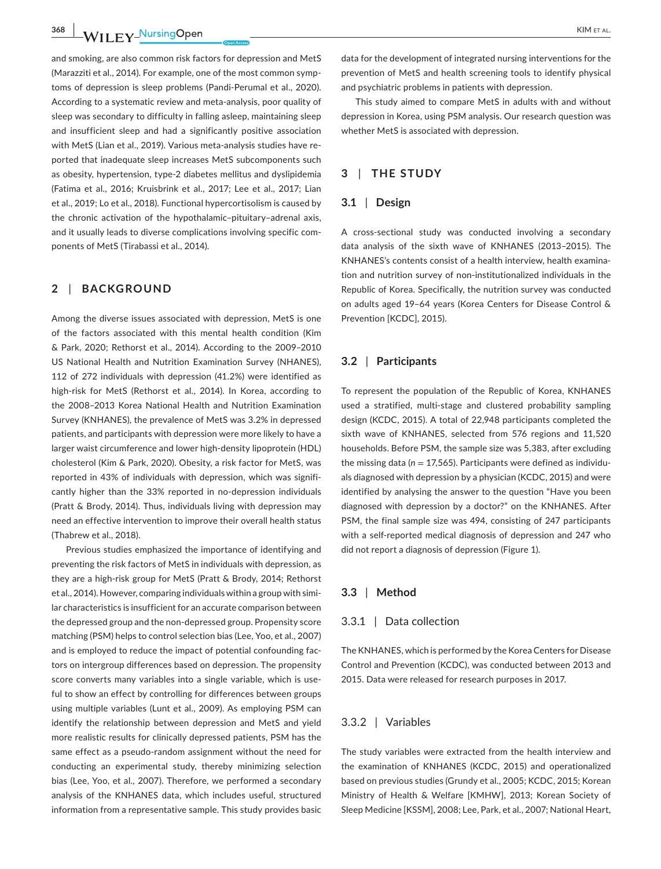**368 WII FY<sup>NursingOpen 2008 CONSUMERTAL**</sup>

and smoking, are also common risk factors for depression and MetS (Marazziti et al., 2014). For example, one of the most common symptoms of depression is sleep problems (Pandi-Perumal et al., 2020). According to a systematic review and meta-analysis, poor quality of sleep was secondary to difficulty in falling asleep, maintaining sleep and insufficient sleep and had a significantly positive association with MetS (Lian et al., 2019). Various meta-analysis studies have reported that inadequate sleep increases MetS subcomponents such as obesity, hypertension, type-2 diabetes mellitus and dyslipidemia (Fatima et al., 2016; Kruisbrink et al., 2017; Lee et al., 2017; Lian et al., 2019; Lo et al., 2018). Functional hypercortisolism is caused by the chronic activation of the hypothalamic–pituitary–adrenal axis, and it usually leads to diverse complications involving specific components of MetS (Tirabassi et al., 2014).

# **2** | **BACKGROUND**

Among the diverse issues associated with depression, MetS is one of the factors associated with this mental health condition (Kim & Park, 2020; Rethorst et al., 2014). According to the 2009–2010 US National Health and Nutrition Examination Survey (NHANES), 112 of 272 individuals with depression (41.2%) were identified as high-risk for MetS (Rethorst et al., 2014). In Korea, according to the 2008–2013 Korea National Health and Nutrition Examination Survey (KNHANES), the prevalence of MetS was 3.2% in depressed patients, and participants with depression were more likely to have a larger waist circumference and lower high-density lipoprotein (HDL) cholesterol (Kim & Park, 2020). Obesity, a risk factor for MetS, was reported in 43% of individuals with depression, which was significantly higher than the 33% reported in no-depression individuals (Pratt & Brody, 2014). Thus, individuals living with depression may need an effective intervention to improve their overall health status (Thabrew et al., 2018).

Previous studies emphasized the importance of identifying and preventing the risk factors of MetS in individuals with depression, as they are a high-risk group for MetS (Pratt & Brody, 2014; Rethorst et al., 2014). However, comparing individuals within a group with similar characteristics is insufficient for an accurate comparison between the depressed group and the non-depressed group. Propensity score matching (PSM) helps to control selection bias (Lee, Yoo, et al., 2007) and is employed to reduce the impact of potential confounding factors on intergroup differences based on depression. The propensity score converts many variables into a single variable, which is useful to show an effect by controlling for differences between groups using multiple variables (Lunt et al., 2009). As employing PSM can identify the relationship between depression and MetS and yield more realistic results for clinically depressed patients, PSM has the same effect as a pseudo-random assignment without the need for conducting an experimental study, thereby minimizing selection bias (Lee, Yoo, et al., 2007). Therefore, we performed a secondary analysis of the KNHANES data, which includes useful, structured information from a representative sample. This study provides basic

data for the development of integrated nursing interventions for the prevention of MetS and health screening tools to identify physical and psychiatric problems in patients with depression.

This study aimed to compare MetS in adults with and without depression in Korea, using PSM analysis. Our research question was whether MetS is associated with depression.

# **3** | **THE STUDY**

# **3.1** | **Design**

A cross-sectional study was conducted involving a secondary data analysis of the sixth wave of KNHANES (2013–2015). The KNHANES's contents consist of a health interview, health examination and nutrition survey of non-institutionalized individuals in the Republic of Korea. Specifically, the nutrition survey was conducted on adults aged 19–64 years (Korea Centers for Disease Control & Prevention [KCDC], 2015).

# **3.2** | **Participants**

To represent the population of the Republic of Korea, KNHANES used a stratified, multi-stage and clustered probability sampling design (KCDC, 2015). A total of 22,948 participants completed the sixth wave of KNHANES, selected from 576 regions and 11,520 households. Before PSM, the sample size was 5,383, after excluding the missing data ( $n = 17,565$ ). Participants were defined as individuals diagnosed with depression by a physician (KCDC, 2015) and were identified by analysing the answer to the question "Have you been diagnosed with depression by a doctor?" on the KNHANES. After PSM, the final sample size was 494, consisting of 247 participants with a self-reported medical diagnosis of depression and 247 who did not report a diagnosis of depression (Figure 1).

#### **3.3** | **Method**

# 3.3.1 | Data collection

The KNHANES, which is performed by the Korea Centers for Disease Control and Prevention (KCDC), was conducted between 2013 and 2015. Data were released for research purposes in 2017.

## 3.3.2 | Variables

The study variables were extracted from the health interview and the examination of KNHANES (KCDC, 2015) and operationalized based on previous studies (Grundy et al., 2005; KCDC, 2015; Korean Ministry of Health & Welfare [KMHW], 2013; Korean Society of Sleep Medicine [KSSM], 2008; Lee, Park, et al., 2007; National Heart,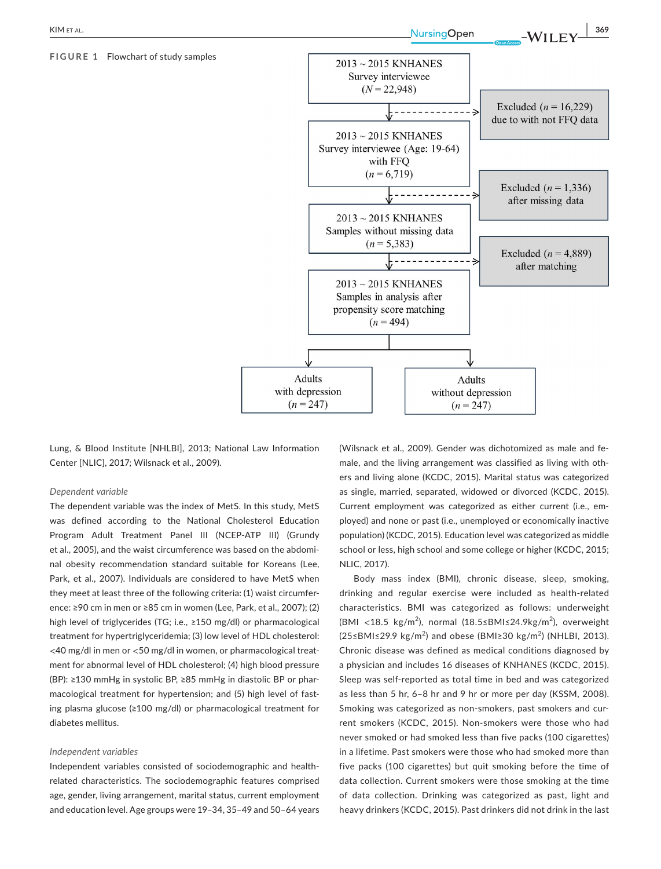#### **FIGURE 1** Flowchart of study samples



Lung, & Blood Institute [NHLBI], 2013; National Law Information Center [NLIC], 2017; Wilsnack et al., 2009).

#### *Dependent variable*

The dependent variable was the index of MetS. In this study, MetS was defined according to the National Cholesterol Education Program Adult Treatment Panel III (NCEP-ATP III) (Grundy et al., 2005), and the waist circumference was based on the abdominal obesity recommendation standard suitable for Koreans (Lee, Park, et al., 2007). Individuals are considered to have MetS when they meet at least three of the following criteria: (1) waist circumference: ≥90 cm in men or ≥85 cm in women (Lee, Park, et al., 2007); (2) high level of triglycerides (TG; i.e., ≥150 mg/dl) or pharmacological treatment for hypertriglyceridemia; (3) low level of HDL cholesterol: <40 mg/dl in men or <50 mg/dl in women, or pharmacological treatment for abnormal level of HDL cholesterol; (4) high blood pressure (BP): ≥130 mmHg in systolic BP, ≥85 mmHg in diastolic BP or pharmacological treatment for hypertension; and (5) high level of fasting plasma glucose (≥100 mg/dl) or pharmacological treatment for diabetes mellitus.

#### *Independent variables*

Independent variables consisted of sociodemographic and healthrelated characteristics. The sociodemographic features comprised age, gender, living arrangement, marital status, current employment and education level. Age groups were 19–34, 35–49 and 50–64 years (Wilsnack et al., 2009). Gender was dichotomized as male and female, and the living arrangement was classified as living with others and living alone (KCDC, 2015). Marital status was categorized as single, married, separated, widowed or divorced (KCDC, 2015). Current employment was categorized as either current (i.e., employed) and none or past (i.e., unemployed or economically inactive population) (KCDC, 2015). Education level was categorized as middle school or less, high school and some college or higher (KCDC, 2015; NLIC, 2017).

Body mass index (BMI), chronic disease, sleep, smoking, drinking and regular exercise were included as health-related characteristics. BMI was categorized as follows: underweight (BMI <18.5 kg/m<sup>2</sup>), normal (18.5≤BMI≤24.9kg/m<sup>2</sup>), overweight (25≤BMI≤29.9 kg/m<sup>2</sup>) and obese (BMI≥30 kg/m<sup>2</sup>) (NHLBI, 2013). Chronic disease was defined as medical conditions diagnosed by a physician and includes 16 diseases of KNHANES (KCDC, 2015). Sleep was self-reported as total time in bed and was categorized as less than 5 hr, 6–8 hr and 9 hr or more per day (KSSM, 2008). Smoking was categorized as non-smokers, past smokers and current smokers (KCDC, 2015). Non-smokers were those who had never smoked or had smoked less than five packs (100 cigarettes) in a lifetime. Past smokers were those who had smoked more than five packs (100 cigarettes) but quit smoking before the time of data collection. Current smokers were those smoking at the time of data collection. Drinking was categorized as past, light and heavy drinkers (KCDC, 2015). Past drinkers did not drink in the last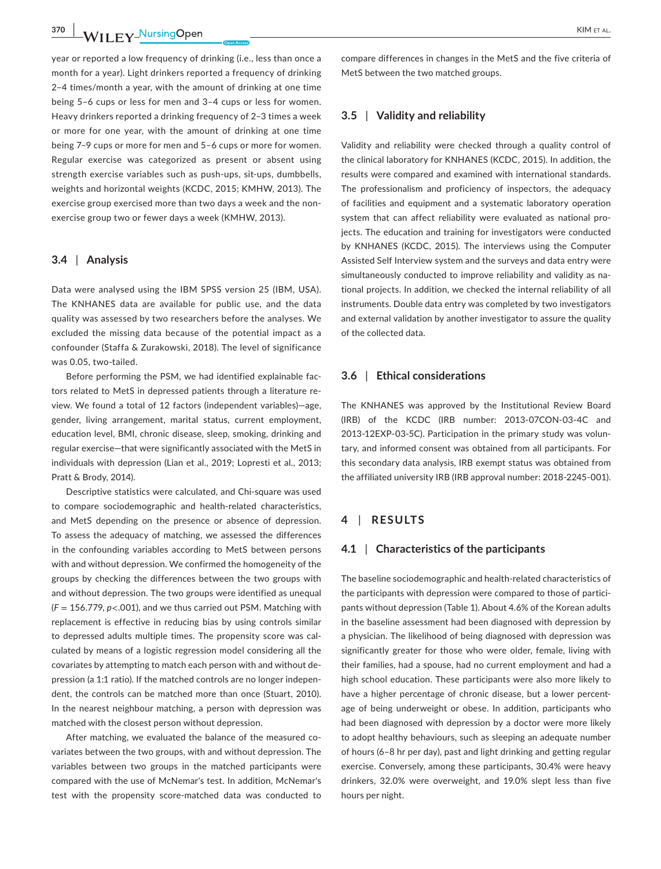year or reported a low frequency of drinking (i.e., less than once a month for a year). Light drinkers reported a frequency of drinking 2–4 times/month a year, with the amount of drinking at one time being 5–6 cups or less for men and 3–4 cups or less for women. Heavy drinkers reported a drinking frequency of 2–3 times a week or more for one year, with the amount of drinking at one time being 7–9 cups or more for men and 5–6 cups or more for women. Regular exercise was categorized as present or absent using strength exercise variables such as push-ups, sit-ups, dumbbells, weights and horizontal weights (KCDC, 2015; KMHW, 2013). The exercise group exercised more than two days a week and the nonexercise group two or fewer days a week (KMHW, 2013).

## **3.4** | **Analysis**

Data were analysed using the IBM SPSS version 25 (IBM, USA). The KNHANES data are available for public use, and the data quality was assessed by two researchers before the analyses. We excluded the missing data because of the potential impact as a confounder (Staffa & Zurakowski, 2018). The level of significance was 0.05, two-tailed.

Before performing the PSM, we had identified explainable factors related to MetS in depressed patients through a literature review. We found a total of 12 factors (independent variables)—age, gender, living arrangement, marital status, current employment, education level, BMI, chronic disease, sleep, smoking, drinking and regular exercise—that were significantly associated with the MetS in individuals with depression (Lian et al., 2019; Lopresti et al., 2013; Pratt & Brody, 2014).

Descriptive statistics were calculated, and Chi-square was used to compare sociodemographic and health-related characteristics, and MetS depending on the presence or absence of depression. To assess the adequacy of matching, we assessed the differences in the confounding variables according to MetS between persons with and without depression. We confirmed the homogeneity of the groups by checking the differences between the two groups with and without depression. The two groups were identified as unequal (*F* = 156.779, *p*<.001), and we thus carried out PSM. Matching with replacement is effective in reducing bias by using controls similar to depressed adults multiple times. The propensity score was calculated by means of a logistic regression model considering all the covariates by attempting to match each person with and without depression (a 1:1 ratio). If the matched controls are no longer independent, the controls can be matched more than once (Stuart, 2010). In the nearest neighbour matching, a person with depression was matched with the closest person without depression.

After matching, we evaluated the balance of the measured covariates between the two groups, with and without depression. The variables between two groups in the matched participants were compared with the use of McNemar's test. In addition, McNemar's test with the propensity score-matched data was conducted to compare differences in changes in the MetS and the five criteria of MetS between the two matched groups.

# **3.5** | **Validity and reliability**

Validity and reliability were checked through a quality control of the clinical laboratory for KNHANES (KCDC, 2015). In addition, the results were compared and examined with international standards. The professionalism and proficiency of inspectors, the adequacy of facilities and equipment and a systematic laboratory operation system that can affect reliability were evaluated as national projects. The education and training for investigators were conducted by KNHANES (KCDC, 2015). The interviews using the Computer Assisted Self Interview system and the surveys and data entry were simultaneously conducted to improve reliability and validity as national projects. In addition, we checked the internal reliability of all instruments. Double data entry was completed by two investigators and external validation by another investigator to assure the quality of the collected data.

#### **3.6** | **Ethical considerations**

The KNHANES was approved by the Institutional Review Board (IRB) of the KCDC (IRB number: 2013-07CON-03-4C and 2013-12EXP-03-5C). Participation in the primary study was voluntary, and informed consent was obtained from all participants. For this secondary data analysis, IRB exempt status was obtained from the affiliated university IRB (IRB approval number: 2018-2245-001).

#### **4** | **RESULTS**

#### **4.1** | **Characteristics of the participants**

The baseline sociodemographic and health-related characteristics of the participants with depression were compared to those of participants without depression (Table 1). About 4.6% of the Korean adults in the baseline assessment had been diagnosed with depression by a physician. The likelihood of being diagnosed with depression was significantly greater for those who were older, female, living with their families, had a spouse, had no current employment and had a high school education. These participants were also more likely to have a higher percentage of chronic disease, but a lower percentage of being underweight or obese. In addition, participants who had been diagnosed with depression by a doctor were more likely to adopt healthy behaviours, such as sleeping an adequate number of hours (6–8 hr per day), past and light drinking and getting regular exercise. Conversely, among these participants, 30.4% were heavy drinkers, 32.0% were overweight, and 19.0% slept less than five hours per night.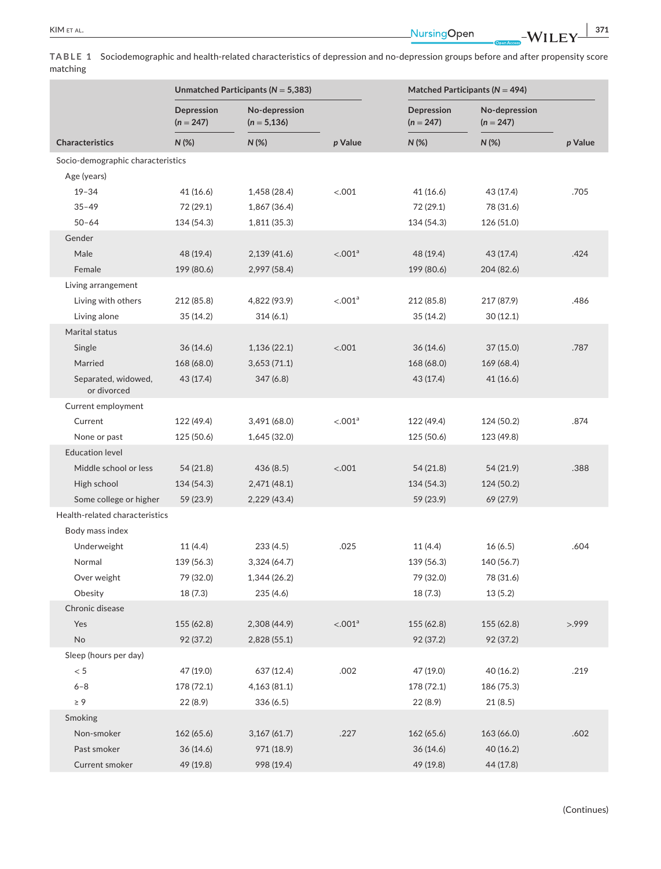|          | TABLE 1 Sociodemographic and health-related characteristics of depression and no-depression groups before and after propensity score |
|----------|--------------------------------------------------------------------------------------------------------------------------------------|
| matching |                                                                                                                                      |

|                                    | Unmatched Participants ( $N = 5,383$ ) |                                 |                     | Matched Participants ( $N = 494$ ) |                              |         |
|------------------------------------|----------------------------------------|---------------------------------|---------------------|------------------------------------|------------------------------|---------|
|                                    | Depression<br>$(n = 247)$              | No-depression<br>$(n = 5, 136)$ |                     | Depression<br>$(n = 247)$          | No-depression<br>$(n = 247)$ |         |
| <b>Characteristics</b>             | $N$ (%)                                | $N$ (%)                         | p Value             | N(%)                               | $N$ (%)                      | p Value |
| Socio-demographic characteristics  |                                        |                                 |                     |                                    |                              |         |
| Age (years)                        |                                        |                                 |                     |                                    |                              |         |
| $19 - 34$                          | 41(16.6)                               | 1,458 (28.4)                    | < .001              | 41 (16.6)                          | 43 (17.4)                    | .705    |
| $35 - 49$                          | 72 (29.1)                              | 1,867 (36.4)                    |                     | 72 (29.1)                          | 78 (31.6)                    |         |
| $50 - 64$                          | 134 (54.3)                             | 1,811 (35.3)                    |                     | 134 (54.3)                         | 126 (51.0)                   |         |
| Gender                             |                                        |                                 |                     |                                    |                              |         |
| Male                               | 48 (19.4)                              | 2,139(41.6)                     | < .001 <sup>a</sup> | 48 (19.4)                          | 43 (17.4)                    | .424    |
| Female                             | 199 (80.6)                             | 2,997 (58.4)                    |                     | 199 (80.6)                         | 204 (82.6)                   |         |
| Living arrangement                 |                                        |                                 |                     |                                    |                              |         |
| Living with others                 | 212 (85.8)                             | 4,822 (93.9)                    | < 0.01 <sup>a</sup> | 212 (85.8)                         | 217 (87.9)                   | .486    |
| Living alone                       | 35(14.2)                               | 314(6.1)                        |                     | 35(14.2)                           | 30(12.1)                     |         |
| Marital status                     |                                        |                                 |                     |                                    |                              |         |
| Single                             | 36(14.6)                               | 1,136(22.1)                     | < .001              | 36(14.6)                           | 37(15.0)                     | .787    |
| Married                            | 168 (68.0)                             | 3,653(71.1)                     |                     | 168 (68.0)                         | 169 (68.4)                   |         |
| Separated, widowed,<br>or divorced | 43 (17.4)                              | 347(6.8)                        |                     | 43 (17.4)                          | 41 (16.6)                    |         |
| Current employment                 |                                        |                                 |                     |                                    |                              |         |
| Current                            | 122 (49.4)                             | 3,491 (68.0)                    | < 0.01 <sup>a</sup> | 122 (49.4)                         | 124 (50.2)                   | .874    |
| None or past                       | 125 (50.6)                             | 1,645 (32.0)                    |                     | 125 (50.6)                         | 123 (49.8)                   |         |
| <b>Education level</b>             |                                        |                                 |                     |                                    |                              |         |
| Middle school or less              | 54 (21.8)                              | 436(8.5)                        | < .001              | 54 (21.8)                          | 54 (21.9)                    | .388    |
| High school                        | 134 (54.3)                             | 2,471 (48.1)                    |                     | 134 (54.3)                         | 124 (50.2)                   |         |
| Some college or higher             | 59 (23.9)                              | 2,229 (43.4)                    |                     | 59 (23.9)                          | 69 (27.9)                    |         |
| Health-related characteristics     |                                        |                                 |                     |                                    |                              |         |
| Body mass index                    |                                        |                                 |                     |                                    |                              |         |
| Underweight                        | 11(4.4)                                | 233(4.5)                        | .025                | 11(4.4)                            | 16(6.5)                      | .604    |
| Normal                             | 139 (56.3)                             | 3,324 (64.7)                    |                     | 139 (56.3)                         | 140 (56.7)                   |         |
| Over weight                        | 79 (32.0)                              | 1,344(26.2)                     |                     | 79 (32.0)                          | 78 (31.6)                    |         |
| Obesity                            | 18 (7.3)                               | 235 (4.6)                       |                     | 18(7.3)                            | 13(5.2)                      |         |
| Chronic disease                    |                                        |                                 |                     |                                    |                              |         |
| Yes                                | 155 (62.8)                             | 2,308 (44.9)                    | < .001 <sup>a</sup> | 155 (62.8)                         | 155 (62.8)                   | >999    |
| <b>No</b>                          | 92 (37.2)                              | 2,828 (55.1)                    |                     | 92 (37.2)                          | 92 (37.2)                    |         |
| Sleep (hours per day)              |                                        |                                 |                     |                                    |                              |         |
| < 5                                | 47 (19.0)                              | 637 (12.4)                      | .002                | 47 (19.0)                          | 40(16.2)                     | .219    |
| $6 - 8$                            | 178 (72.1)                             | 4,163(81.1)                     |                     | 178 (72.1)                         | 186 (75.3)                   |         |
| $\geq 9$                           | 22(8.9)                                | 336(6.5)                        |                     | 22 (8.9)                           | 21(8.5)                      |         |
| Smoking                            |                                        |                                 |                     |                                    |                              |         |
| Non-smoker                         | 162 (65.6)                             | 3,167(61.7)                     | .227                | 162 (65.6)                         | 163 (66.0)                   | .602    |
| Past smoker                        | 36 (14.6)                              | 971 (18.9)                      |                     | 36 (14.6)                          | 40 (16.2)                    |         |
| Current smoker                     | 49 (19.8)                              | 998 (19.4)                      |                     | 49 (19.8)                          | 44(17.8)                     |         |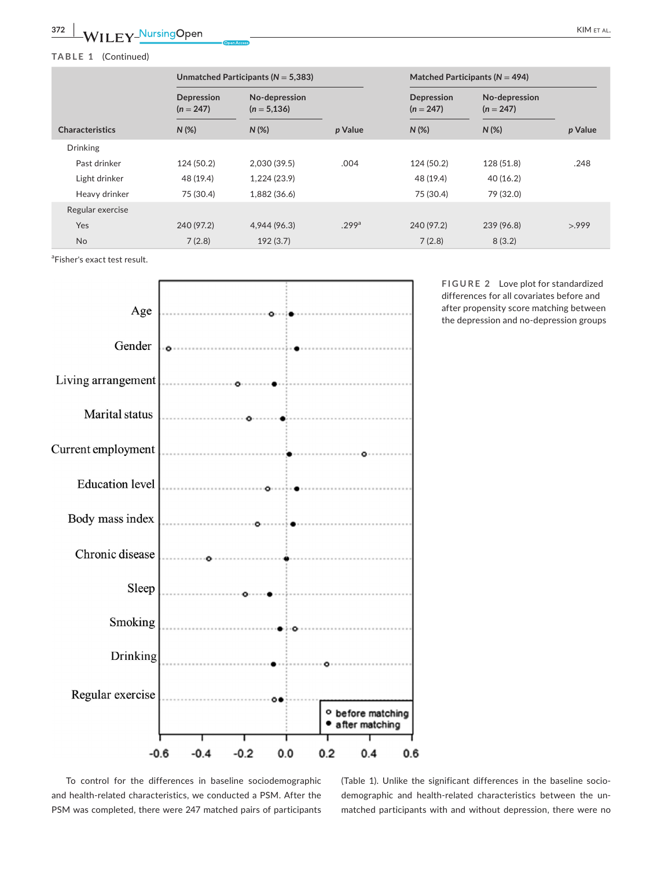# **TABLE 1** (Continued)

|                        | Unmatched Participants ( $N = 5,383$ ) |                                 |                   | Matched Participants ( $N = 494$ )   |                                         |         |
|------------------------|----------------------------------------|---------------------------------|-------------------|--------------------------------------|-----------------------------------------|---------|
|                        | Depression<br>$(n = 247)$<br>$N(\%)$   | No-depression<br>$(n = 5, 136)$ | p Value           | Depression<br>$(n = 247)$<br>$N(\%)$ | No-depression<br>$(n = 247)$<br>$N(\%)$ | p Value |
| <b>Characteristics</b> |                                        | $N(\%)$                         |                   |                                      |                                         |         |
| <b>Drinking</b>        |                                        |                                 |                   |                                      |                                         |         |
| Past drinker           | 124 (50.2)                             | 2,030(39.5)                     | .004              | 124 (50.2)                           | 128 (51.8)                              | .248    |
| Light drinker          | 48 (19.4)                              | 1,224(23.9)                     |                   | 48 (19.4)                            | 40(16.2)                                |         |
| Heavy drinker          | 75 (30.4)                              | 1,882 (36.6)                    |                   | 75 (30.4)                            | 79 (32.0)                               |         |
| Regular exercise       |                                        |                                 |                   |                                      |                                         |         |
| <b>Yes</b>             | 240 (97.2)                             | 4,944 (96.3)                    | .299 <sup>a</sup> | 240 (97.2)                           | 239 (96.8)                              | >999    |
| <b>No</b>              | 7(2.8)                                 | 192(3.7)                        |                   | 7(2.8)                               | 8(3.2)                                  |         |

<sup>a</sup>Fisher's exact test result.



**FIGURE 2** Love plot for standardized differences for all covariates before and after propensity score matching between the depression and no-depression groups

To control for the differences in baseline sociodemographic and health-related characteristics, we conducted a PSM. After the PSM was completed, there were 247 matched pairs of participants (Table 1). Unlike the significant differences in the baseline sociodemographic and health-related characteristics between the unmatched participants with and without depression, there were no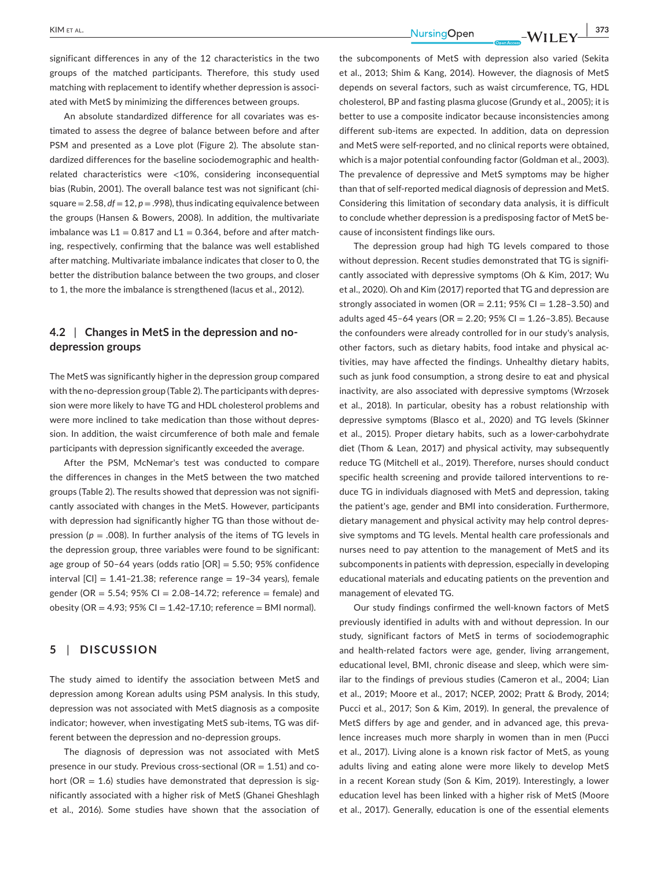significant differences in any of the 12 characteristics in the two groups of the matched participants. Therefore, this study used matching with replacement to identify whether depression is associated with MetS by minimizing the differences between groups.

An absolute standardized difference for all covariates was estimated to assess the degree of balance between before and after PSM and presented as a Love plot (Figure 2). The absolute standardized differences for the baseline sociodemographic and healthrelated characteristics were <10%, considering inconsequential bias (Rubin, 2001). The overall balance test was not significant (chisquare  $= 2.58$ ,  $df = 12$ ,  $p = .998$ ), thus indicating equivalence between the groups (Hansen & Bowers, 2008). In addition, the multivariate imbalance was  $L1 = 0.817$  and  $L1 = 0.364$ , before and after matching, respectively, confirming that the balance was well established after matching. Multivariate imbalance indicates that closer to 0, the better the distribution balance between the two groups, and closer to 1, the more the imbalance is strengthened (Iacus et al., 2012).

# **4.2** | **Changes in MetS in the depression and nodepression groups**

The MetS was significantly higher in the depression group compared with the no-depression group (Table 2). The participants with depression were more likely to have TG and HDL cholesterol problems and were more inclined to take medication than those without depression. In addition, the waist circumference of both male and female participants with depression significantly exceeded the average.

After the PSM, McNemar's test was conducted to compare the differences in changes in the MetS between the two matched groups (Table 2). The results showed that depression was not significantly associated with changes in the MetS. However, participants with depression had significantly higher TG than those without depression ( $p = .008$ ). In further analysis of the items of TG levels in the depression group, three variables were found to be significant: age group of 50–64 years (odds ratio  $[OR] = 5.50$ ; 95% confidence interval  $[CI] = 1.41-21.38$ ; reference range = 19-34 years), female gender (OR =  $5.54$ ;  $95\%$  CI =  $2.08-14.72$ ; reference = female) and obesity (OR = 4.93;  $95\%$  CI = 1.42-17.10; reference = BMI normal).

## **5** | **DISCUSSION**

The study aimed to identify the association between MetS and depression among Korean adults using PSM analysis. In this study, depression was not associated with MetS diagnosis as a composite indicator; however, when investigating MetS sub-items, TG was different between the depression and no-depression groups.

The diagnosis of depression was not associated with MetS presence in our study. Previous cross-sectional ( $OR = 1.51$ ) and cohort ( $OR = 1.6$ ) studies have demonstrated that depression is significantly associated with a higher risk of MetS (Ghanei Gheshlagh et al., 2016). Some studies have shown that the association of the subcomponents of MetS with depression also varied (Sekita et al., 2013; Shim & Kang, 2014). However, the diagnosis of MetS depends on several factors, such as waist circumference, TG, HDL cholesterol, BP and fasting plasma glucose (Grundy et al., 2005); it is better to use a composite indicator because inconsistencies among different sub-items are expected. In addition, data on depression and MetS were self-reported, and no clinical reports were obtained, which is a major potential confounding factor (Goldman et al., 2003). The prevalence of depressive and MetS symptoms may be higher than that of self-reported medical diagnosis of depression and MetS. Considering this limitation of secondary data analysis, it is difficult to conclude whether depression is a predisposing factor of MetS because of inconsistent findings like ours.

The depression group had high TG levels compared to those without depression. Recent studies demonstrated that TG is significantly associated with depressive symptoms (Oh & Kim, 2017; Wu et al., 2020). Oh and Kim (2017) reported that TG and depression are strongly associated in women ( $OR = 2.11$ ; 95% CI = 1.28-3.50) and adults aged 45-64 years (OR = 2.20; 95% CI =  $1.26 - 3.85$ ). Because the confounders were already controlled for in our study's analysis, other factors, such as dietary habits, food intake and physical activities, may have affected the findings. Unhealthy dietary habits, such as junk food consumption, a strong desire to eat and physical inactivity, are also associated with depressive symptoms (Wrzosek et al., 2018). In particular, obesity has a robust relationship with depressive symptoms (Blasco et al., 2020) and TG levels (Skinner et al., 2015). Proper dietary habits, such as a lower-carbohydrate diet (Thom & Lean, 2017) and physical activity, may subsequently reduce TG (Mitchell et al., 2019). Therefore, nurses should conduct specific health screening and provide tailored interventions to reduce TG in individuals diagnosed with MetS and depression, taking the patient's age, gender and BMI into consideration. Furthermore, dietary management and physical activity may help control depressive symptoms and TG levels. Mental health care professionals and nurses need to pay attention to the management of MetS and its subcomponents in patients with depression, especially in developing educational materials and educating patients on the prevention and management of elevated TG.

Our study findings confirmed the well-known factors of MetS previously identified in adults with and without depression. In our study, significant factors of MetS in terms of sociodemographic and health-related factors were age, gender, living arrangement, educational level, BMI, chronic disease and sleep, which were similar to the findings of previous studies (Cameron et al., 2004; Lian et al., 2019; Moore et al., 2017; NCEP, 2002; Pratt & Brody, 2014; Pucci et al., 2017; Son & Kim, 2019). In general, the prevalence of MetS differs by age and gender, and in advanced age, this prevalence increases much more sharply in women than in men (Pucci et al., 2017). Living alone is a known risk factor of MetS, as young adults living and eating alone were more likely to develop MetS in a recent Korean study (Son & Kim, 2019). Interestingly, a lower education level has been linked with a higher risk of MetS (Moore et al., 2017). Generally, education is one of the essential elements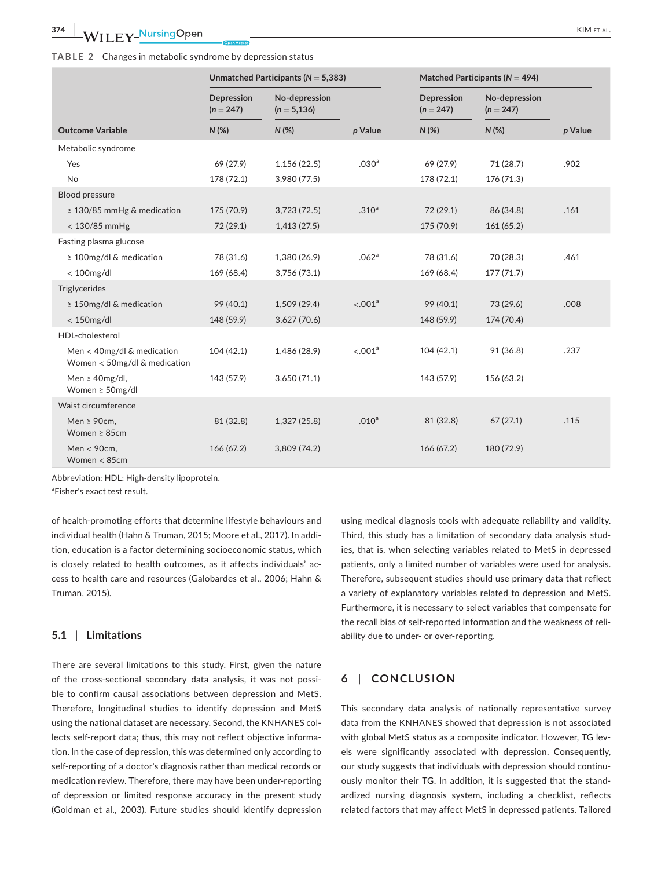#### **TABLE 2** Changes in metabolic syndrome by depression status

|                                                                | Unmatched Participants ( $N = 5,383$ ) |                                 |                     | Matched Participants ( $N = 494$ ) |                              |         |
|----------------------------------------------------------------|----------------------------------------|---------------------------------|---------------------|------------------------------------|------------------------------|---------|
|                                                                | Depression<br>$(n = 247)$              | No-depression<br>$(n = 5, 136)$ |                     | Depression<br>$(n = 247)$          | No-depression<br>$(n = 247)$ |         |
| <b>Outcome Variable</b>                                        | $N$ (%)                                | $N$ (%)                         | p Value             | $N$ (%)                            | $N$ (%)                      | p Value |
| Metabolic syndrome                                             |                                        |                                 |                     |                                    |                              |         |
| Yes                                                            | 69 (27.9)                              | 1,156(22.5)                     | .030 <sup>a</sup>   | 69 (27.9)                          | 71 (28.7)                    | .902    |
| No                                                             | 178 (72.1)                             | 3,980 (77.5)                    |                     | 178 (72.1)                         | 176 (71.3)                   |         |
| <b>Blood pressure</b>                                          |                                        |                                 |                     |                                    |                              |         |
| ≥ 130/85 mmHg & medication                                     | 175 (70.9)                             | 3,723(72.5)                     | .310 <sup>a</sup>   | 72 (29.1)                          | 86 (34.8)                    | .161    |
| $<$ 130/85 mmHg                                                | 72 (29.1)                              | 1,413(27.5)                     |                     | 175 (70.9)                         | 161(65.2)                    |         |
| Fasting plasma glucose                                         |                                        |                                 |                     |                                    |                              |         |
| ≥ 100mg/dl & medication                                        | 78 (31.6)                              | 1,380 (26.9)                    | .062 <sup>a</sup>   | 78 (31.6)                          | 70 (28.3)                    | .461    |
| $<$ 100 $mg/dl$                                                | 169 (68.4)                             | 3,756 (73.1)                    |                     | 169 (68.4)                         | 177(71.7)                    |         |
| Triglycerides                                                  |                                        |                                 |                     |                                    |                              |         |
| $\geq$ 150mg/dl & medication                                   | 99 (40.1)                              | 1,509(29.4)                     | < .001 <sup>a</sup> | 99 (40.1)                          | 73 (29.6)                    | .008    |
| $<$ 150mg/dl                                                   | 148 (59.9)                             | 3,627(70.6)                     |                     | 148 (59.9)                         | 174 (70.4)                   |         |
| HDL-cholesterol                                                |                                        |                                 |                     |                                    |                              |         |
| Men $<$ 40mg/dl & medication<br>Women $<$ 50mg/dl & medication | 104(42.1)                              | 1,486 (28.9)                    | < 0.01 <sup>a</sup> | 104(42.1)                          | 91 (36.8)                    | .237    |
| Men $\geq$ 40mg/dl,<br>Women $\geq$ 50mg/dl                    | 143 (57.9)                             | 3,650(71.1)                     |                     | 143 (57.9)                         | 156 (63.2)                   |         |
| Waist circumference                                            |                                        |                                 |                     |                                    |                              |         |
| Men $\geq$ 90cm,<br>Women $\geq 85$ cm                         | 81 (32.8)                              | 1,327 (25.8)                    | .010 <sup>a</sup>   | 81 (32.8)                          | 67(27.1)                     | .115    |
| Men $<$ 90cm,<br>Women $<$ 85cm                                | 166 (67.2)                             | 3,809(74.2)                     |                     | 166 (67.2)                         | 180 (72.9)                   |         |

Abbreviation: HDL: High-density lipoprotein.

<sup>a</sup>Fisher's exact test result.

of health-promoting efforts that determine lifestyle behaviours and individual health (Hahn & Truman, 2015; Moore et al., 2017). In addition, education is a factor determining socioeconomic status, which is closely related to health outcomes, as it affects individuals' access to health care and resources (Galobardes et al., 2006; Hahn & Truman, 2015).

## **5.1** | **Limitations**

There are several limitations to this study. First, given the nature of the cross-sectional secondary data analysis, it was not possible to confirm causal associations between depression and MetS. Therefore, longitudinal studies to identify depression and MetS using the national dataset are necessary. Second, the KNHANES collects self-report data; thus, this may not reflect objective information. In the case of depression, this was determined only according to self-reporting of a doctor's diagnosis rather than medical records or medication review. Therefore, there may have been under-reporting of depression or limited response accuracy in the present study (Goldman et al., 2003). Future studies should identify depression

using medical diagnosis tools with adequate reliability and validity. Third, this study has a limitation of secondary data analysis studies, that is, when selecting variables related to MetS in depressed patients, only a limited number of variables were used for analysis. Therefore, subsequent studies should use primary data that reflect a variety of explanatory variables related to depression and MetS. Furthermore, it is necessary to select variables that compensate for the recall bias of self-reported information and the weakness of reliability due to under- or over-reporting.

# **6** | **CONCLUSION**

This secondary data analysis of nationally representative survey data from the KNHANES showed that depression is not associated with global MetS status as a composite indicator. However, TG levels were significantly associated with depression. Consequently, our study suggests that individuals with depression should continuously monitor their TG. In addition, it is suggested that the standardized nursing diagnosis system, including a checklist, reflects related factors that may affect MetS in depressed patients. Tailored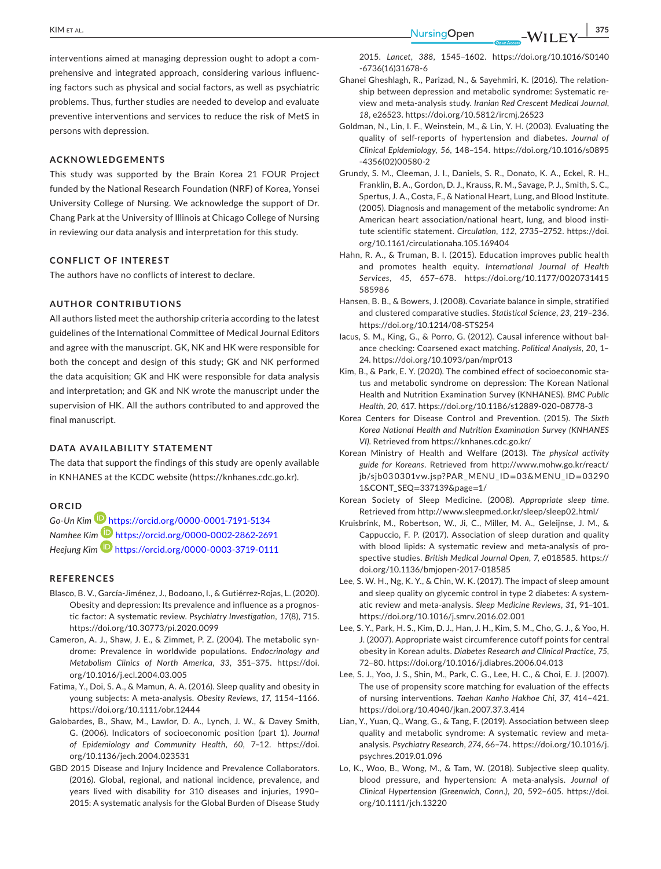**|** KIM et al. **375**

interventions aimed at managing depression ought to adopt a comprehensive and integrated approach, considering various influencing factors such as physical and social factors, as well as psychiatric problems. Thus, further studies are needed to develop and evaluate preventive interventions and services to reduce the risk of MetS in persons with depression.

### **ACKNOWLEDGEMENTS**

This study was supported by the Brain Korea 21 FOUR Project funded by the National Research Foundation (NRF) of Korea, Yonsei University College of Nursing. We acknowledge the support of Dr. Chang Park at the University of Illinois at Chicago College of Nursing in reviewing our data analysis and interpretation for this study.

# **CONFLICT OF INTEREST**

The authors have no conflicts of interest to declare.

# **AUTHOR CONTRIBUTIONS**

All authors listed meet the authorship criteria according to the latest guidelines of the International Committee of Medical Journal Editors and agree with the manuscript. GK, NK and HK were responsible for both the concept and design of this study; GK and NK performed the data acquisition; GK and HK were responsible for data analysis and interpretation; and GK and NK wrote the manuscript under the supervision of HK. All the authors contributed to and approved the final manuscript.

# **DATA AVAILABILITY STATEMENT**

The data that support the findings of this study are openly available in KNHANES at the KCDC website [\(https://knhanes.cdc.go.kr](https://knhanes.cdc.go.kr)).

# **ORCID**

*Go-Un Kim* <https://orcid.org/0000-0001-7191-5134> *Namhee Kim* <https://orcid.org/0000-0002-2862-2691> *Heejung Kim* <https://orcid.org/0000-0003-3719-0111>

#### **REFERENCES**

- Blasco, B. V., García-Jiménez, J., Bodoano, I., & Gutiérrez-Rojas, L. (2020). Obesity and depression: Its prevalence and influence as a prognostic factor: A systematic review. *Psychiatry Investigation*, *17*(8), 715. <https://doi.org/10.30773/pi.2020.0099>
- Cameron, A. J., Shaw, J. E., & Zimmet, P. Z. (2004). The metabolic syndrome: Prevalence in worldwide populations. *Endocrinology and Metabolism Clinics of North America*, *33*, 351–375. [https://doi.](https://doi.org/10.1016/j.ecl.2004.03.005) [org/10.1016/j.ecl.2004.03.005](https://doi.org/10.1016/j.ecl.2004.03.005)
- Fatima, Y., Doi, S. A., & Mamun, A. A. (2016). Sleep quality and obesity in young subjects: A meta-analysis. *Obesity Reviews*, *17*, 1154–1166. <https://doi.org/10.1111/obr.12444>
- Galobardes, B., Shaw, M., Lawlor, D. A., Lynch, J. W., & Davey Smith, G. (2006). Indicators of socioeconomic position (part 1). *Journal of Epidemiology and Community Health*, *60*, 7–12. [https://doi.](https://doi.org/10.1136/jech.2004.023531) [org/10.1136/jech.2004.023531](https://doi.org/10.1136/jech.2004.023531)
- GBD 2015 Disease and Injury Incidence and Prevalence Collaborators. (2016). Global, regional, and national incidence, prevalence, and years lived with disability for 310 diseases and injuries, 1990– 2015: A systematic analysis for the Global Burden of Disease Study

2015. *Lancet*, *388*, 1545–1602. [https://doi.org/10.1016/S0140](https://doi.org/10.1016/S0140-6736(16)31678-6) [-6736\(16\)31678-6](https://doi.org/10.1016/S0140-6736(16)31678-6)

- Ghanei Gheshlagh, R., Parizad, N., & Sayehmiri, K. (2016). The relationship between depression and metabolic syndrome: Systematic review and meta-analysis study. *Iranian Red Crescent Medical Journal*, *18*, e26523.<https://doi.org/10.5812/ircmj.26523>
- Goldman, N., Lin, I. F., Weinstein, M., & Lin, Y. H. (2003). Evaluating the quality of self-reports of hypertension and diabetes. *Journal of Clinical Epidemiology*, *56*, 148–154. [https://doi.org/10.1016/s0895](https://doi.org/10.1016/s0895-4356(02)00580-2) [-4356\(02\)00580-2](https://doi.org/10.1016/s0895-4356(02)00580-2)
- Grundy, S. M., Cleeman, J. I., Daniels, S. R., Donato, K. A., Eckel, R. H., Franklin, B. A., Gordon, D. J., Krauss, R. M., Savage, P. J., Smith, S. C., Spertus, J. A., Costa, F., & National Heart, Lung, and Blood Institute. (2005). Diagnosis and management of the metabolic syndrome: An American heart association/national heart, lung, and blood institute scientific statement. *Circulation*, *112*, 2735–2752. [https://doi.](https://doi.org/10.1161/circulationaha.105.169404) [org/10.1161/circulationaha.105.169404](https://doi.org/10.1161/circulationaha.105.169404)
- Hahn, R. A., & Truman, B. I. (2015). Education improves public health and promotes health equity. *International Journal of Health Services*, *45*, 657–678. [https://doi.org/10.1177/0020731415](https://doi.org/10.1177/0020731415585986) [585986](https://doi.org/10.1177/0020731415585986)
- Hansen, B. B., & Bowers, J. (2008). Covariate balance in simple, stratified and clustered comparative studies. *Statistical Science*, *23*, 219–236. <https://doi.org/10.1214/08-STS254>
- Iacus, S. M., King, G., & Porro, G. (2012). Causal inference without balance checking: Coarsened exact matching. *Political Analysis*, *20*, 1– 24.<https://doi.org/10.1093/pan/mpr013>
- Kim, B., & Park, E. Y. (2020). The combined effect of socioeconomic status and metabolic syndrome on depression: The Korean National Health and Nutrition Examination Survey (KNHANES). *BMC Public Health*, *20*, 617. <https://doi.org/10.1186/s12889-020-08778-3>
- Korea Centers for Disease Control and Prevention. (2015). *The Sixth Korea National Health and Nutrition Examination Survey (KNHANES VI)*. Retrieved from <https://knhanes.cdc.go.kr/>
- Korean Ministry of Health and Welfare (2013). *The physical activity guide for Koreans*. Retrieved from [http://www.mohw.go.kr/react/](http://www.mohw.go.kr/react/jb/sjb030301vw.jsp?PAR_MENU_ID=03&MENU_ID=032901&CONT_SEQ=337139&page=1/) [jb/sjb030301vw.jsp?PAR\\_MENU\\_ID](http://www.mohw.go.kr/react/jb/sjb030301vw.jsp?PAR_MENU_ID=03&MENU_ID=032901&CONT_SEQ=337139&page=1/)=03&MENU\_ID=03290 [1&CONT\\_SEQ](http://www.mohw.go.kr/react/jb/sjb030301vw.jsp?PAR_MENU_ID=03&MENU_ID=032901&CONT_SEQ=337139&page=1/)=337139&page=1/
- Korean Society of Sleep Medicine. (2008). *Appropriate sleep time*. Retrieved from<http://www.sleepmed.or.kr/sleep/sleep02.html/>
- Kruisbrink, M., Robertson, W., Ji, C., Miller, M. A., Geleijnse, J. M., & Cappuccio, F. P. (2017). Association of sleep duration and quality with blood lipids: A systematic review and meta-analysis of prospective studies. *British Medical Journal Open*, *7*, e018585. [https://](https://doi.org/10.1136/bmjopen-2017-018585) [doi.org/10.1136/bmjopen-2017-018585](https://doi.org/10.1136/bmjopen-2017-018585)
- Lee, S. W. H., Ng, K. Y., & Chin, W. K. (2017). The impact of sleep amount and sleep quality on glycemic control in type 2 diabetes: A systematic review and meta-analysis. *Sleep Medicine Reviews*, *31*, 91–101. <https://doi.org/10.1016/j.smrv.2016.02.001>
- Lee, S. Y., Park, H. S., Kim, D. J., Han, J. H., Kim, S. M., Cho, G. J., & Yoo, H. J. (2007). Appropriate waist circumference cutoff points for central obesity in Korean adults. *Diabetes Research and Clinical Practice*, *75*, 72–80.<https://doi.org/10.1016/j.diabres.2006.04.013>
- Lee, S. J., Yoo, J. S., Shin, M., Park, C. G., Lee, H. C., & Choi, E. J. (2007). The use of propensity score matching for evaluation of the effects of nursing interventions. *Taehan Kanho Hakhoe Chi*, *37*, 414–421. <https://doi.org/10.4040/jkan.2007.37.3.414>
- Lian, Y., Yuan, Q., Wang, G., & Tang, F. (2019). Association between sleep quality and metabolic syndrome: A systematic review and metaanalysis. *Psychiatry Research*, *274*, 66–74. [https://doi.org/10.1016/j.](https://doi.org/10.1016/j.psychres.2019.01.096) [psychres.2019.01.096](https://doi.org/10.1016/j.psychres.2019.01.096)
- Lo, K., Woo, B., Wong, M., & Tam, W. (2018). Subjective sleep quality, blood pressure, and hypertension: A meta-analysis. *Journal of Clinical Hypertension (Greenwich, Conn.)*, *20*, 592–605. [https://doi.](https://doi.org/10.1111/jch.13220) [org/10.1111/jch.13220](https://doi.org/10.1111/jch.13220)